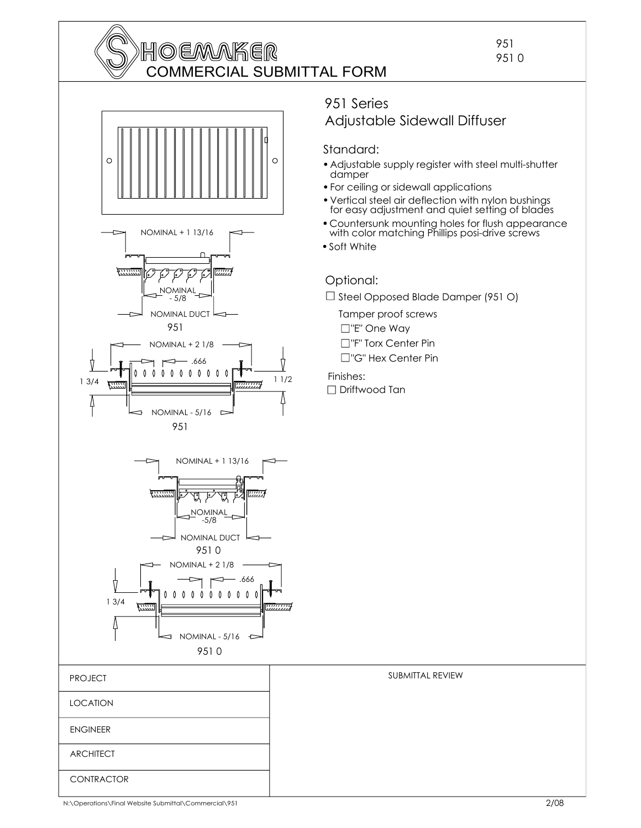

951 951 0



 $0\quad 0\quad 0\quad 0$ 

Λ  $\theta$  $\theta$  $\mathbf{0}$ 

### 951 Series Adjustable Sidewall Diffuser

### Standard:

- Adjustable supply register with steel multi-shutter damper
- For ceiling or sidewall applications
- Vertical steel air deflection with nylon bushings for easy adjustment and quiet setting of blades
- Countersunk mounting holes for flush appearance with color matching Phillips posi-drive screws
- Soft White

### Optional:

 $\square$  Steel Opposed Blade Damper (951 O)

Tamper proof screws □"F" Torx Center Pin "E" One Way

□"G" Hex Center Pin

Finishes: □ Driftwood Tan



1 3/4

تتنا

L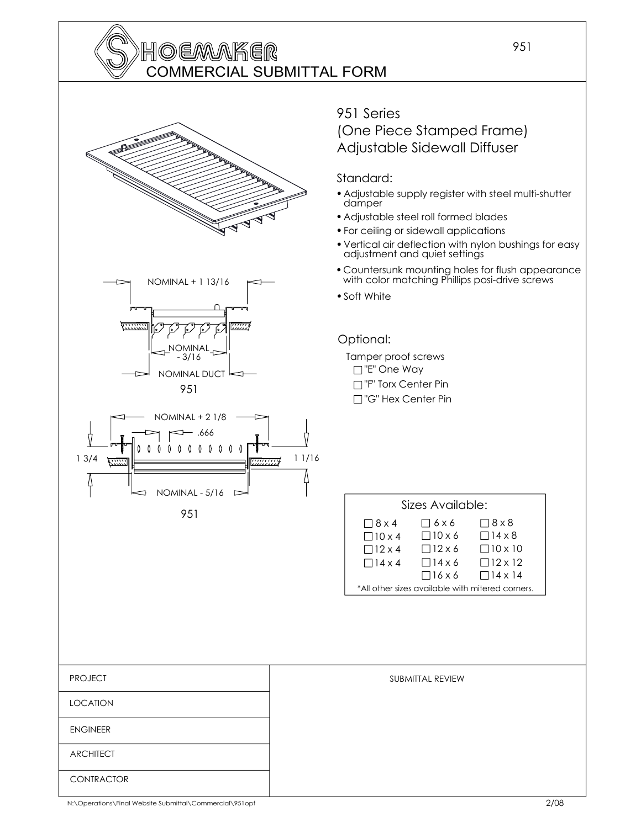## **HOEMAKER** COMMERCIAL SUBMITTAL FORM

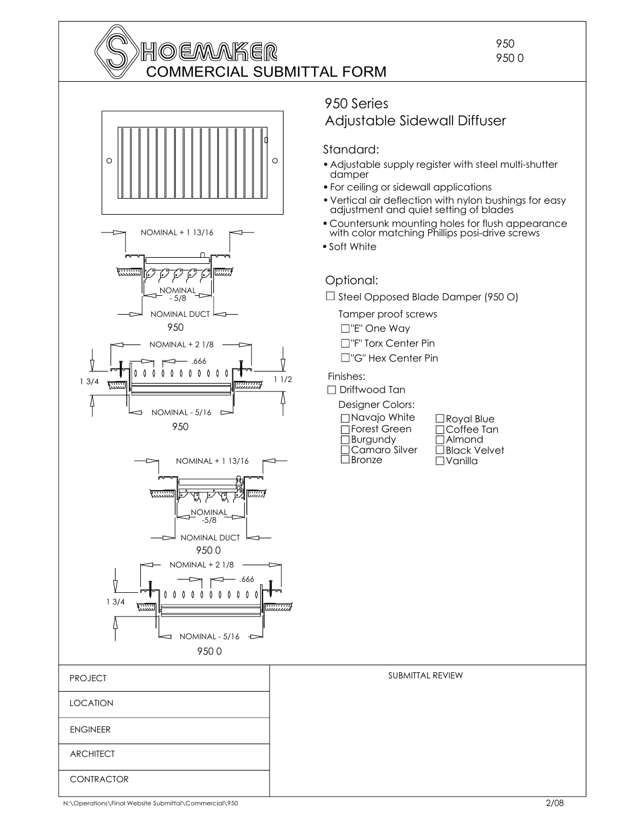





 $\overline{\mathbf{a}}$ 

950 0

NOMINAL - 5/16

 $\Gamma$ 

### 950 Series Adjustable Sidewall Diffuser

#### Standard:

- Adjustable supply register with steel multi-shutter damper
- For ceiling or sidewall applications
- Vertical air deflection with nylon bushings for easy adjustment and quiet setting of blades
- Countersunk mounting holes for flush appearance with color matching Phillips posi-drive screws
- Soft White

### Optional:

 $\Box$  Steel Opposed Blade Damper (950 O)

SUBMITTAL REVIEW

Tamper proof screws

- "E" One Way
- □"F" Torx Center Pin
- □"G" Hex Center Pin

Finishes:

□ Driftwood Tan Designer Colors: Bronze Camaro Silver □Burgundy Forest Green Navajo White

Vanilla Black Velvet Almond □Coffee Tan Royal Blue

N:\Operations\Final Website Submittal\Commercial\950

**CONTRACTOR** 

**ARCHITECT** 

ENGINEER

LOCATION

PROJECT

950 950 0